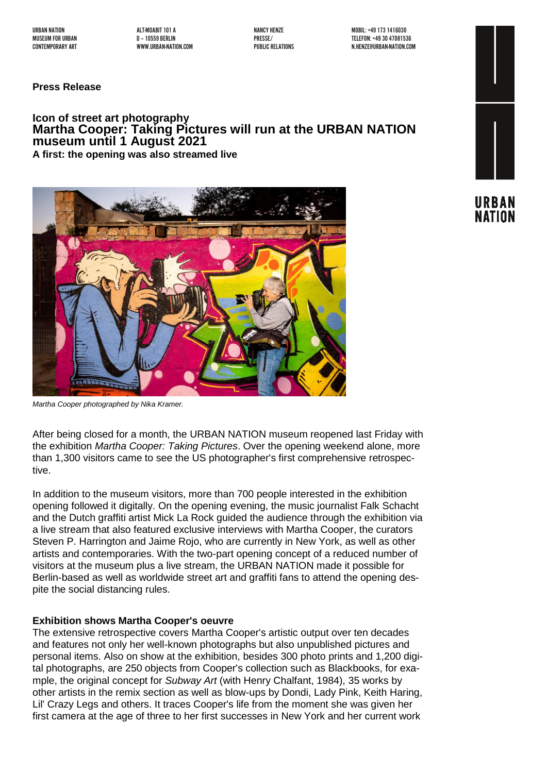URBAN NATION ALT-MOABIT 101 A NANCY HENZE MOBIL: +49 1731416030

MUSEUM FOR URBAN D –10559 BERLIN PRESSE/ TELEFON: +49 30 47081536 N.HENZE@URBAN-NATION.COM

**Press Release**

# **Icon of street art photography Martha Cooper: Taking Pictures will run at the URBAN NATION museum until 1 August 2021 A first: the opening was also streamed live**





*Martha Cooper photographed by Nika Kramer.*

After being closed for a month, the URBAN NATION museum reopened last Friday with the exhibition *Martha Cooper: Taking Pictures*. Over the opening weekend alone, more than 1,300 visitors came to see the US photographer's first comprehensive retrospective.

In addition to the museum visitors, more than 700 people interested in the exhibition opening followed it digitally. On the opening evening, the music journalist Falk Schacht and the Dutch graffiti artist Mick La Rock guided the audience through the exhibition via a live stream that also featured exclusive interviews with Martha Cooper, the curators Steven P. Harrington and Jaime Rojo, who are currently in New York, as well as other artists and contemporaries. With the two-part opening concept of a reduced number of visitors at the museum plus a live stream, the URBAN NATION made it possible for Berlin-based as well as worldwide street art and graffiti fans to attend the opening despite the social distancing rules.

#### **Exhibition shows Martha Cooper's oeuvre**

The extensive retrospective covers Martha Cooper's artistic output over ten decades and features not only her well-known photographs but also unpublished pictures and personal items. Also on show at the exhibition, besides 300 photo prints and 1,200 digital photographs, are 250 objects from Cooper's collection such as Blackbooks, for example, the original concept for *Subway Art* (with Henry Chalfant, 1984), 35 works by other artists in the remix section as well as blow-ups by Dondi, Lady Pink, Keith Haring, Lil' Crazy Legs and others. It traces Cooper's life from the moment she was given her first camera at the age of three to her first successes in New York and her current work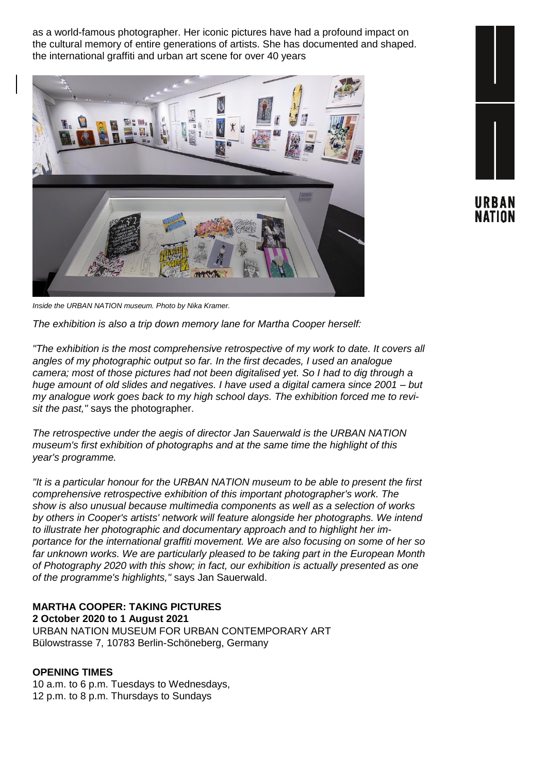as a world-famous photographer. Her iconic pictures have had a profound impact on the cultural memory of entire generations of artists. She has documented and shaped. the international graffiti and urban art scene for over 40 years



URBAN NATION

*Inside the URBAN NATION museum. Photo by Nika Kramer.*

*The exhibition is also a trip down memory lane for Martha Cooper herself:*

*"The exhibition is the most comprehensive retrospective of my work to date. It covers all angles of my photographic output so far. In the first decades, I used an analogue camera; most of those pictures had not been digitalised yet. So I had to dig through a huge amount of old slides and negatives. I have used a digital camera since 2001 – but my analogue work goes back to my high school days. The exhibition forced me to revisit the past,"* says the photographer.

*The retrospective under the aegis of director Jan Sauerwald is the URBAN NATION museum's first exhibition of photographs and at the same time the highlight of this year's programme.*

*"It is a particular honour for the URBAN NATION museum to be able to present the first comprehensive retrospective exhibition of this important photographer's work. The show is also unusual because multimedia components as well as a selection of works by others in Cooper's artists' network will feature alongside her photographs. We intend to illustrate her photographic and documentary approach and to highlight her importance for the international graffiti movement. We are also focusing on some of her so far unknown works. We are particularly pleased to be taking part in the European Month of Photography 2020 with this show; in fact, our exhibition is actually presented as one of the programme's highlights,"* says Jan Sauerwald.

# **MARTHA COOPER: TAKING PICTURES**

**2 October 2020 to 1 August 2021** URBAN NATION MUSEUM FOR URBAN CONTEMPORARY ART Bülowstrasse 7, 10783 Berlin-Schöneberg, Germany

#### **OPENING TIMES**

10 a.m. to 6 p.m. Tuesdays to Wednesdays, 12 p.m. to 8 p.m. Thursdays to Sundays